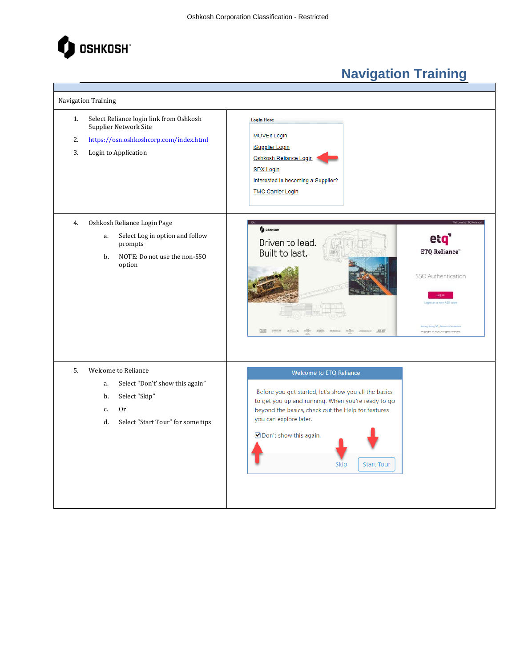

Т

## **Navigation Training**

 $\overline{\phantom{a}}$ 

| Navigation Training |                                                                                                                                                   |                                                                                                                                                                                                                                                                                        |                                                                                                                                                                   |
|---------------------|---------------------------------------------------------------------------------------------------------------------------------------------------|----------------------------------------------------------------------------------------------------------------------------------------------------------------------------------------------------------------------------------------------------------------------------------------|-------------------------------------------------------------------------------------------------------------------------------------------------------------------|
| 1.<br>2.<br>3.      | Select Reliance login link from Oshkosh<br>Supplier Network Site<br>https://osn.oshkoshcorp.com/index.html<br>Login to Application                | <b>Login Here</b><br><b>MOVEit Login</b><br><b>iSupplier Login</b><br>Oshkosh Reliance Login<br><b>SDX Login</b><br>Interested in becoming a Supplier?<br><b>TMC Carrier Login</b>                                                                                                     |                                                                                                                                                                   |
| 4.                  | Oshkosh Reliance Login Page<br>Select Log in option and follow<br>a.<br>prompts<br>NOTE: Do not use the non-SSO<br>b.<br>option                   | <b>Q</b> OSHKOSH<br>Driven to lead.<br>Built to last.<br>JLL                                                                                                                                                                                                                           | et <b>q</b><br><b>ETQ Reliance"</b><br>SSO Authentication<br>opin as a non-SSO use<br>Frivary Policy (2") Terms & Conta<br>Copyright & 2020, All rights reserved. |
| 5.                  | <b>Welcome to Reliance</b><br>Select "Don't' show this again"<br>a.<br>Select "Skip"<br>b.<br>0r<br>c.<br>Select "Start Tour" for some tips<br>d. | <b>Welcome to ETQ Reliance</b><br>Before you get started, let's show you all the basics<br>to get you up and running. When you're ready to go<br>beyond the basics, check out the Help for features<br>you can explore later.<br>Ø Don't show this again.<br><b>Start Tour</b><br>Skip |                                                                                                                                                                   |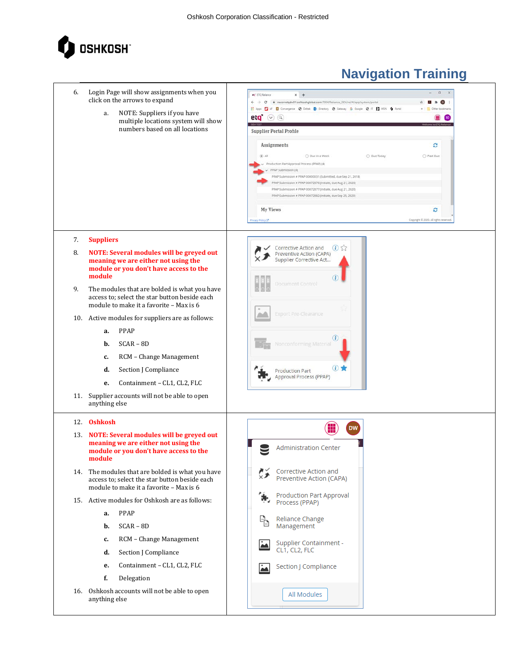

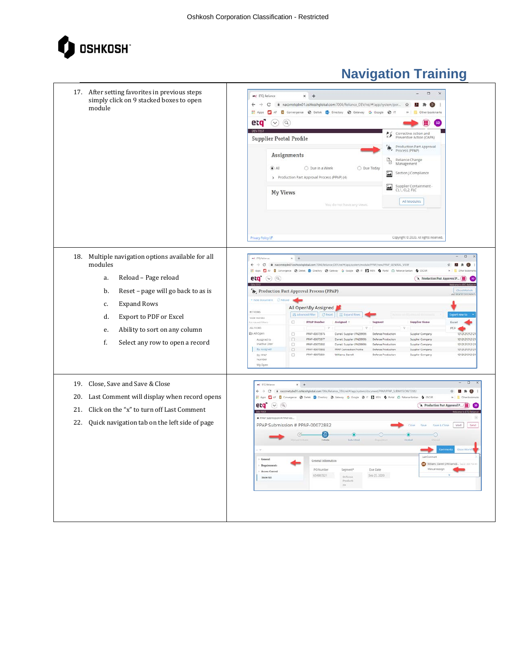

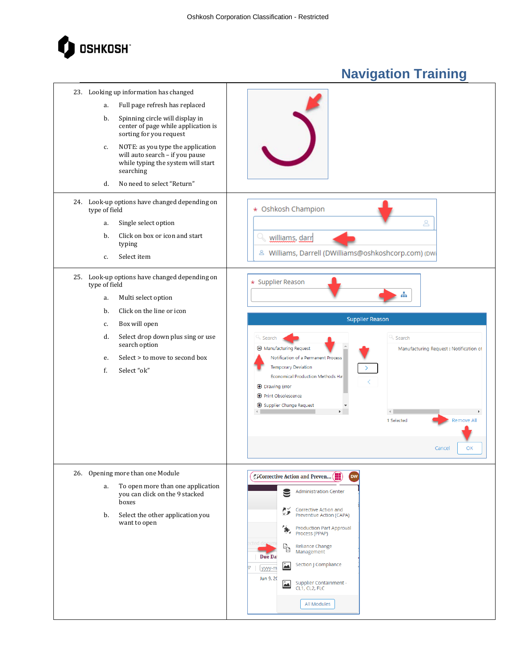